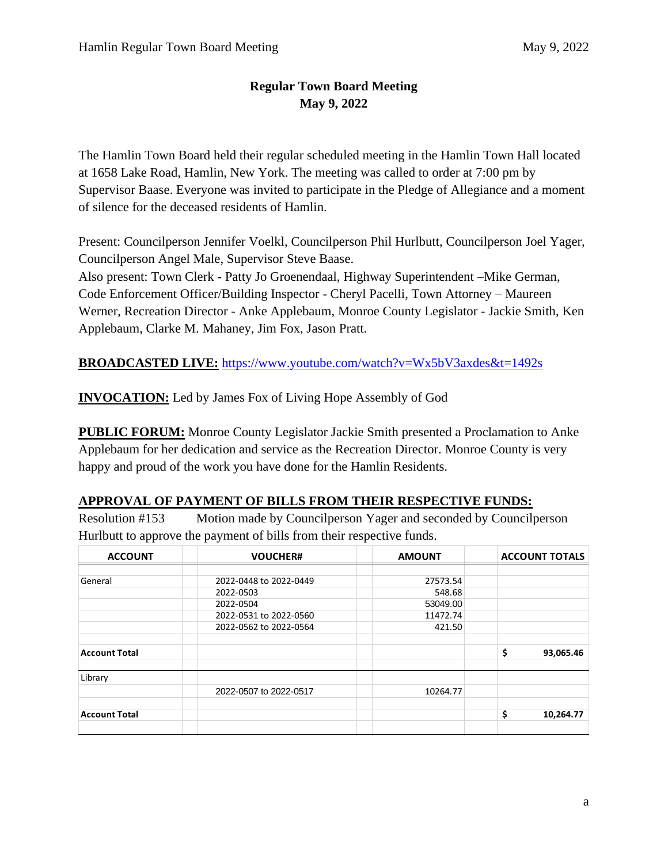# **Regular Town Board Meeting May 9, 2022**

The Hamlin Town Board held their regular scheduled meeting in the Hamlin Town Hall located at 1658 Lake Road, Hamlin, New York. The meeting was called to order at 7:00 pm by Supervisor Baase. Everyone was invited to participate in the Pledge of Allegiance and a moment of silence for the deceased residents of Hamlin.

Present: Councilperson Jennifer Voelkl, Councilperson Phil Hurlbutt, Councilperson Joel Yager, Councilperson Angel Male, Supervisor Steve Baase.

Also present: Town Clerk - Patty Jo Groenendaal, Highway Superintendent –Mike German, Code Enforcement Officer/Building Inspector - Cheryl Pacelli, Town Attorney – Maureen Werner, Recreation Director - Anke Applebaum, Monroe County Legislator - Jackie Smith, Ken Applebaum, Clarke M. Mahaney, Jim Fox, Jason Pratt.

**BROADCASTED LIVE:** <https://www.youtube.com/watch?v=Wx5bV3axdes&t=1492s>

**INVOCATION:** Led by James Fox of Living Hope Assembly of God

**PUBLIC FORUM:** Monroe County Legislator Jackie Smith presented a Proclamation to Anke Applebaum for her dedication and service as the Recreation Director. Monroe County is very happy and proud of the work you have done for the Hamlin Residents.

## **APPROVAL OF PAYMENT OF BILLS FROM THEIR RESPECTIVE FUNDS:**

Resolution #153 Motion made by Councilperson Yager and seconded by Councilperson Hurlbutt to approve the payment of bills from their respective funds.

| <b>ACCOUNT</b>       | <b>VOUCHER#</b>        | <b>AMOUNT</b> | <b>ACCOUNT TOTALS</b> |  |
|----------------------|------------------------|---------------|-----------------------|--|
|                      |                        |               |                       |  |
| General              | 2022-0448 to 2022-0449 | 27573.54      |                       |  |
|                      | 2022-0503              | 548.68        |                       |  |
|                      | 2022-0504              | 53049.00      |                       |  |
|                      | 2022-0531 to 2022-0560 | 11472.74      |                       |  |
|                      | 2022-0562 to 2022-0564 | 421.50        |                       |  |
|                      |                        |               |                       |  |
| <b>Account Total</b> |                        |               | \$<br>93,065.46       |  |
| Library              |                        |               |                       |  |
|                      | 2022-0507 to 2022-0517 | 10264.77      |                       |  |
|                      |                        |               |                       |  |
| <b>Account Total</b> |                        |               | \$<br>10,264.77       |  |
|                      |                        |               |                       |  |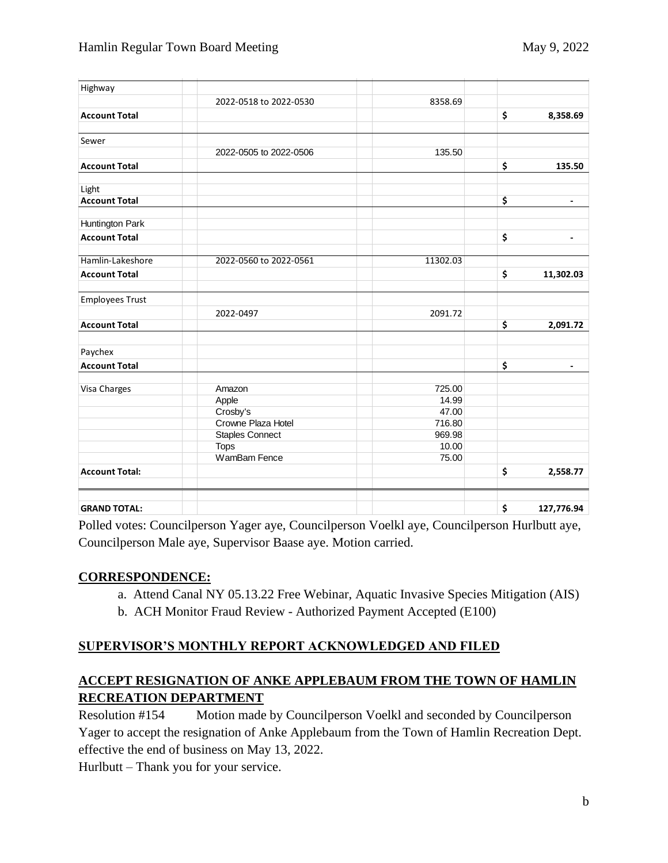| Highway                |                        |          |                      |
|------------------------|------------------------|----------|----------------------|
|                        | 2022-0518 to 2022-0530 | 8358.69  |                      |
| <b>Account Total</b>   |                        |          | \$<br>8,358.69       |
|                        |                        |          |                      |
| Sewer                  |                        |          |                      |
|                        | 2022-0505 to 2022-0506 | 135.50   |                      |
| <b>Account Total</b>   |                        |          | \$<br>135.50         |
| Light                  |                        |          |                      |
| <b>Account Total</b>   |                        |          | \$<br>$\blacksquare$ |
| Huntington Park        |                        |          |                      |
| <b>Account Total</b>   |                        |          | \$<br>$\blacksquare$ |
| Hamlin-Lakeshore       | 2022-0560 to 2022-0561 | 11302.03 |                      |
| <b>Account Total</b>   |                        |          | \$<br>11,302.03      |
| <b>Employees Trust</b> |                        |          |                      |
|                        | 2022-0497              | 2091.72  |                      |
| <b>Account Total</b>   |                        |          | \$<br>2,091.72       |
| Paychex                |                        |          |                      |
| <b>Account Total</b>   |                        |          | \$                   |
| Visa Charges           | Amazon                 | 725.00   |                      |
|                        | Apple                  | 14.99    |                      |
|                        | Crosby's               | 47.00    |                      |
|                        | Crowne Plaza Hotel     | 716.80   |                      |
|                        | <b>Staples Connect</b> | 969.98   |                      |
|                        | <b>Tops</b>            | 10.00    |                      |
|                        | WamBam Fence           | 75.00    |                      |
| <b>Account Total:</b>  |                        |          | \$<br>2,558.77       |
|                        |                        |          |                      |
| <b>GRAND TOTAL:</b>    |                        |          | \$<br>127,776.94     |

Polled votes: Councilperson Yager aye, Councilperson Voelkl aye, Councilperson Hurlbutt aye, Councilperson Male aye, Supervisor Baase aye. Motion carried.

## **CORRESPONDENCE:**

- a. Attend Canal NY 05.13.22 Free Webinar, Aquatic Invasive Species Mitigation (AIS)
- b. ACH Monitor Fraud Review Authorized Payment Accepted (E100)

## **SUPERVISOR'S MONTHLY REPORT ACKNOWLEDGED AND FILED**

### **ACCEPT RESIGNATION OF ANKE APPLEBAUM FROM THE TOWN OF HAMLIN RECREATION DEPARTMENT**

Resolution #154 Motion made by Councilperson Voelkl and seconded by Councilperson Yager to accept the resignation of Anke Applebaum from the Town of Hamlin Recreation Dept. effective the end of business on May 13, 2022.

Hurlbutt – Thank you for your service.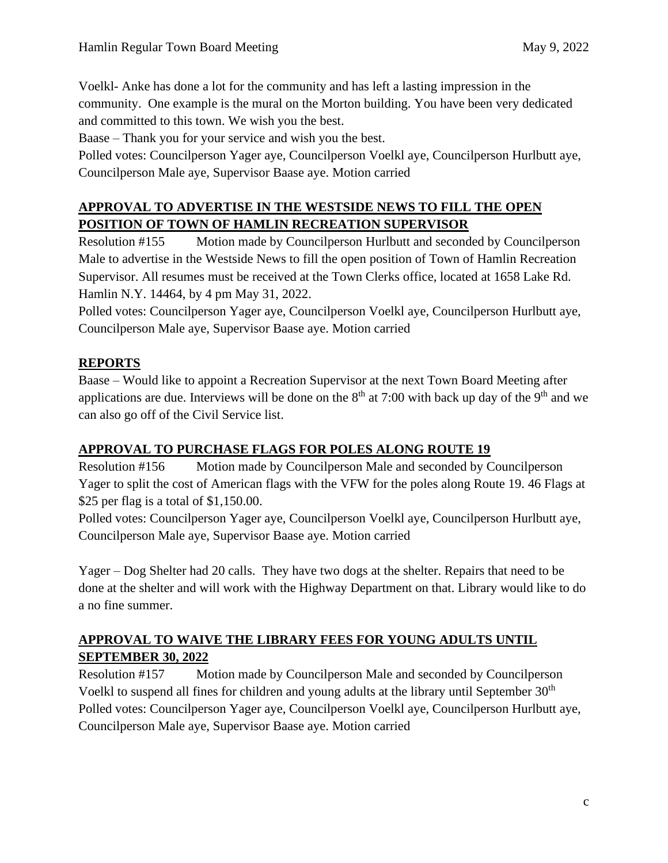Voelkl- Anke has done a lot for the community and has left a lasting impression in the community. One example is the mural on the Morton building. You have been very dedicated and committed to this town. We wish you the best.

Baase – Thank you for your service and wish you the best.

Polled votes: Councilperson Yager aye, Councilperson Voelkl aye, Councilperson Hurlbutt aye, Councilperson Male aye, Supervisor Baase aye. Motion carried

# **APPROVAL TO ADVERTISE IN THE WESTSIDE NEWS TO FILL THE OPEN POSITION OF TOWN OF HAMLIN RECREATION SUPERVISOR**

Resolution #155 Motion made by Councilperson Hurlbutt and seconded by Councilperson Male to advertise in the Westside News to fill the open position of Town of Hamlin Recreation Supervisor. All resumes must be received at the Town Clerks office, located at 1658 Lake Rd. Hamlin N.Y. 14464, by 4 pm May 31, 2022.

Polled votes: Councilperson Yager aye, Councilperson Voelkl aye, Councilperson Hurlbutt aye, Councilperson Male aye, Supervisor Baase aye. Motion carried

# **REPORTS**

Baase – Would like to appoint a Recreation Supervisor at the next Town Board Meeting after applications are due. Interviews will be done on the  $8<sup>th</sup>$  at 7:00 with back up day of the 9<sup>th</sup> and we can also go off of the Civil Service list.

## **APPROVAL TO PURCHASE FLAGS FOR POLES ALONG ROUTE 19**

Resolution #156 Motion made by Councilperson Male and seconded by Councilperson Yager to split the cost of American flags with the VFW for the poles along Route 19. 46 Flags at \$25 per flag is a total of \$1,150.00.

Polled votes: Councilperson Yager aye, Councilperson Voelkl aye, Councilperson Hurlbutt aye, Councilperson Male aye, Supervisor Baase aye. Motion carried

Yager – Dog Shelter had 20 calls. They have two dogs at the shelter. Repairs that need to be done at the shelter and will work with the Highway Department on that. Library would like to do a no fine summer.

# **APPROVAL TO WAIVE THE LIBRARY FEES FOR YOUNG ADULTS UNTIL SEPTEMBER 30, 2022**

Resolution #157 Motion made by Councilperson Male and seconded by Councilperson Voelkl to suspend all fines for children and young adults at the library until September 30<sup>th</sup> Polled votes: Councilperson Yager aye, Councilperson Voelkl aye, Councilperson Hurlbutt aye, Councilperson Male aye, Supervisor Baase aye. Motion carried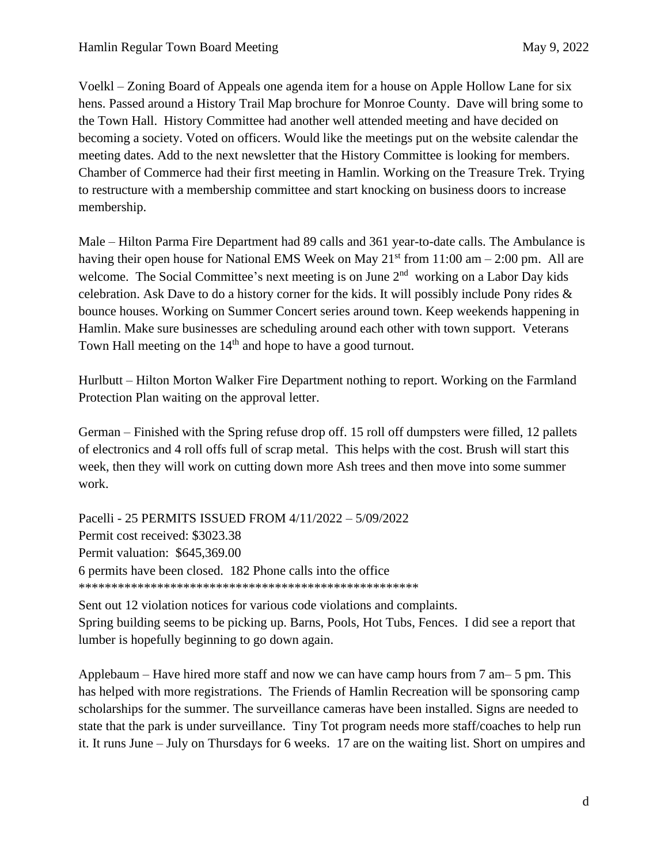Voelkl – Zoning Board of Appeals one agenda item for a house on Apple Hollow Lane for six hens. Passed around a History Trail Map brochure for Monroe County. Dave will bring some to the Town Hall. History Committee had another well attended meeting and have decided on becoming a society. Voted on officers. Would like the meetings put on the website calendar the meeting dates. Add to the next newsletter that the History Committee is looking for members. Chamber of Commerce had their first meeting in Hamlin. Working on the Treasure Trek. Trying to restructure with a membership committee and start knocking on business doors to increase membership.

Male – Hilton Parma Fire Department had 89 calls and 361 year-to-date calls. The Ambulance is having their open house for National EMS Week on May  $21<sup>st</sup>$  from 11:00 am – 2:00 pm. All are welcome. The Social Committee's next meeting is on June  $2<sup>nd</sup>$  working on a Labor Day kids celebration. Ask Dave to do a history corner for the kids. It will possibly include Pony rides & bounce houses. Working on Summer Concert series around town. Keep weekends happening in Hamlin. Make sure businesses are scheduling around each other with town support. Veterans Town Hall meeting on the 14<sup>th</sup> and hope to have a good turnout.

Hurlbutt – Hilton Morton Walker Fire Department nothing to report. Working on the Farmland Protection Plan waiting on the approval letter.

German – Finished with the Spring refuse drop off. 15 roll off dumpsters were filled, 12 pallets of electronics and 4 roll offs full of scrap metal. This helps with the cost. Brush will start this week, then they will work on cutting down more Ash trees and then move into some summer work.

Pacelli - 25 PERMITS ISSUED FROM 4/11/2022 – 5/09/2022 Permit cost received: \$3023.38 Permit valuation: \$645,369.00 6 permits have been closed. 182 Phone calls into the office \*\*\*\*\*\*\*\*\*\*\*\*\*\*\*\*\*\*\*\*\*\*\*\*\*\*\*\*\*\*\*\*\*\*\*\*\*\*\*\*\*\*\*\*\*\*\*\*\*\*\*\*

Sent out 12 violation notices for various code violations and complaints. Spring building seems to be picking up. Barns, Pools, Hot Tubs, Fences. I did see a report that lumber is hopefully beginning to go down again.

Applebaum – Have hired more staff and now we can have camp hours from 7 am– 5 pm. This has helped with more registrations. The Friends of Hamlin Recreation will be sponsoring camp scholarships for the summer. The surveillance cameras have been installed. Signs are needed to state that the park is under surveillance. Tiny Tot program needs more staff/coaches to help run it. It runs June – July on Thursdays for 6 weeks. 17 are on the waiting list. Short on umpires and